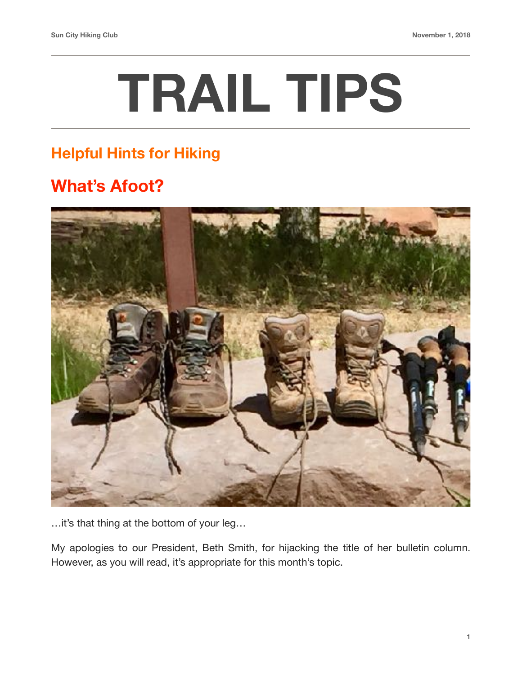## **TRAIL TIPS**

## **Helpful Hints for Hiking**

## **What's Afoot?**



…it's that thing at the bottom of your leg…

My apologies to our President, Beth Smith, for hijacking the title of her bulletin column. However, as you will read, it's appropriate for this month's topic.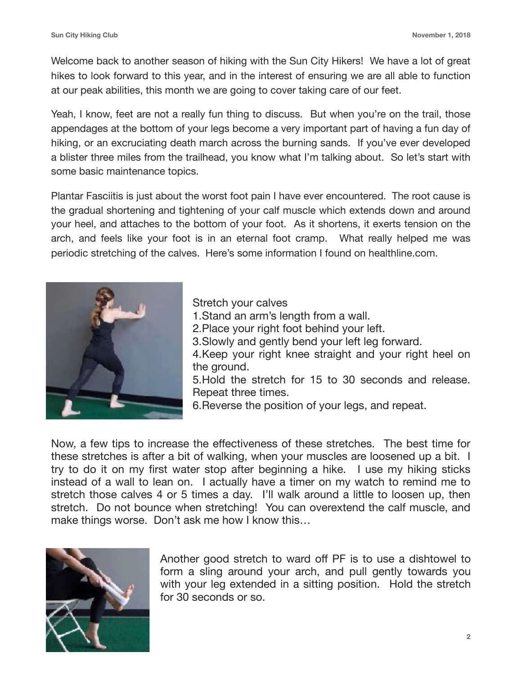Welcome back to another season of hiking with the Sun City Hikers! We have a lot of great hikes to look forward to this year, and in the interest of ensuring we are all able to function at our peak abilities, this month we are going to cover taking care of our feet.

Yeah, I know, feet are not a really fun thing to discuss. But when you're on the trail, those appendages at the bottom of your legs become a very important part of having a fun day of hiking, or an excruciating death march across the burning sands. If you've ever developed a blister three miles from the trailhead, you know what I'm talking about. So let's start with some basic maintenance topics.

Plantar Fasciitis is just about the worst foot pain I have ever encountered. The root cause is the gradual shortening and tightening of your calf muscle which extends down and around your heel, and attaches to the bottom of your foot. As it shortens, it exerts tension on the arch, and feels like your foot is in an eternal foot cramp. What really helped me was periodic stretching of the calves. Here's some information I found on healthline.com.



Stretch your calves

- 1.Stand an arm's length from a wall.
- 2.Place your right foot behind your left.
- 3.Slowly and gently bend your left leg forward.

4.Keep your right knee straight and your right heel on the ground.

5.Hold the stretch for 15 to 30 seconds and release. Repeat three times.

6.Reverse the position of your legs, and repeat.

Now, a few tips to increase the effectiveness of these stretches. The best time for these stretches is after a bit of walking, when your muscles are loosened up a bit. I try to do it on my first water stop after beginning a hike. I use my hiking sticks instead of a wall to lean on. I actually have a timer on my watch to remind me to stretch those calves 4 or 5 times a day. I'll walk around a little to loosen up, then stretch. Do not bounce when stretching! You can overextend the calf muscle, and make things worse. Don't ask me how I know this…



Another good stretch to ward off PF is to use a dishtowel to form a sling around your arch, and pull gently towards you with your leg extended in a sitting position. Hold the stretch for 30 seconds or so.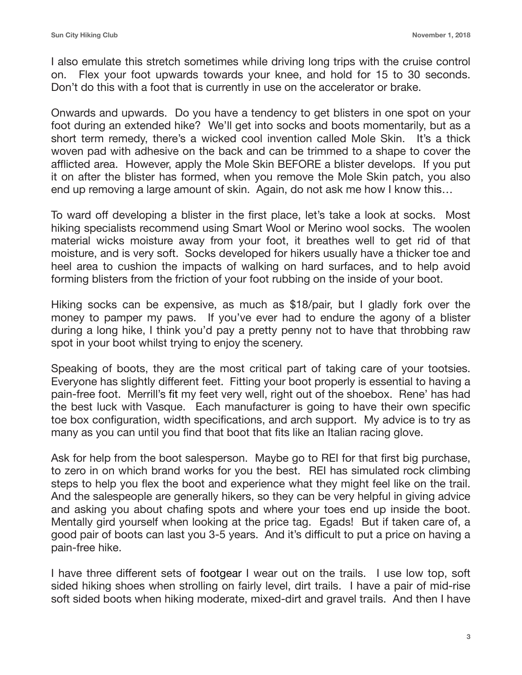I also emulate this stretch sometimes while driving long trips with the cruise control on. Flex your foot upwards towards your knee, and hold for 15 to 30 seconds. Don't do this with a foot that is currently in use on the accelerator or brake.

Onwards and upwards. Do you have a tendency to get blisters in one spot on your foot during an extended hike? We'll get into socks and boots momentarily, but as a short term remedy, there's a wicked cool invention called Mole Skin. It's a thick woven pad with adhesive on the back and can be trimmed to a shape to cover the afflicted area. However, apply the Mole Skin BEFORE a blister develops. If you put it on after the blister has formed, when you remove the Mole Skin patch, you also end up removing a large amount of skin. Again, do not ask me how I know this…

To ward off developing a blister in the first place, let's take a look at socks. Most hiking specialists recommend using Smart Wool or Merino wool socks. The woolen material wicks moisture away from your foot, it breathes well to get rid of that moisture, and is very soft. Socks developed for hikers usually have a thicker toe and heel area to cushion the impacts of walking on hard surfaces, and to help avoid forming blisters from the friction of your foot rubbing on the inside of your boot.

Hiking socks can be expensive, as much as \$18/pair, but I gladly fork over the money to pamper my paws. If you've ever had to endure the agony of a blister during a long hike, I think you'd pay a pretty penny not to have that throbbing raw spot in your boot whilst trying to enjoy the scenery.

Speaking of boots, they are the most critical part of taking care of your tootsies. Everyone has slightly different feet. Fitting your boot properly is essential to having a pain-free foot. Merrill's fit my feet very well, right out of the shoebox. Rene' has had the best luck with Vasque. Each manufacturer is going to have their own specific toe box configuration, width specifications, and arch support. My advice is to try as many as you can until you find that boot that fits like an Italian racing glove.

Ask for help from the boot salesperson. Maybe go to REI for that first big purchase, to zero in on which brand works for you the best. REI has simulated rock climbing steps to help you flex the boot and experience what they might feel like on the trail. And the salespeople are generally hikers, so they can be very helpful in giving advice and asking you about chafing spots and where your toes end up inside the boot. Mentally gird yourself when looking at the price tag. Egads! But if taken care of, a good pair of boots can last you 3-5 years. And it's difficult to put a price on having a pain-free hike.

I have three different sets of footgear I wear out on the trails. I use low top, soft sided hiking shoes when strolling on fairly level, dirt trails. I have a pair of mid-rise soft sided boots when hiking moderate, mixed-dirt and gravel trails. And then I have